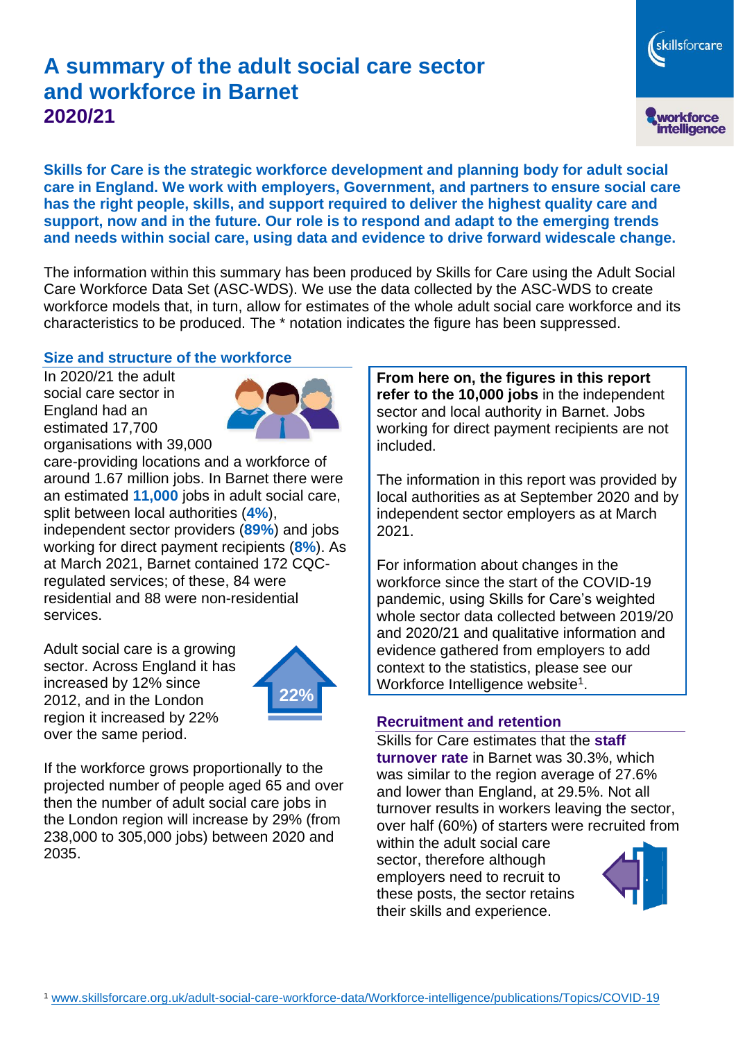# **A summary of the adult social care sector and workforce in Barnet 2020/21**

skillsforcare workforce<br>intelligence

**Skills for Care is the strategic workforce development and planning body for adult social care in England. We work with employers, Government, and partners to ensure social care has the right people, skills, and support required to deliver the highest quality care and support, now and in the future. Our role is to respond and adapt to the emerging trends and needs within social care, using data and evidence to drive forward widescale change.**

The information within this summary has been produced by Skills for Care using the Adult Social Care Workforce Data Set (ASC-WDS). We use the data collected by the ASC-WDS to create workforce models that, in turn, allow for estimates of the whole adult social care workforce and its characteristics to be produced. The \* notation indicates the figure has been suppressed.

#### **Size and structure of the workforce**

In 2020/21 the adult social care sector in England had an estimated 17,700 organisations with 39,000



care-providing locations and a workforce of around 1.67 million jobs. In Barnet there were an estimated **11,000** jobs in adult social care, split between local authorities (**4%**), independent sector providers (**89%**) and jobs working for direct payment recipients (**8%**). As at March 2021, Barnet contained 172 CQCregulated services; of these, 84 were residential and 88 were non-residential services.

Adult social care is a growing sector. Across England it has increased by 12% since 2012, and in the London region it increased by 22% over the same period.



If the workforce grows proportionally to the projected number of people aged 65 and over then the number of adult social care jobs in the London region will increase by 29% (from 238,000 to 305,000 jobs) between 2020 and 2035.

**From here on, the figures in this report refer to the 10,000 jobs** in the independent sector and local authority in Barnet. Jobs working for direct payment recipients are not included.

The information in this report was provided by local authorities as at September 2020 and by independent sector employers as at March 2021.

For information about changes in the workforce since the start of the COVID-19 pandemic, using Skills for Care's weighted whole sector data collected between 2019/20 and 2020/21 and qualitative information and evidence gathered from employers to add context to the statistics, please see our Workforce Intelligence website<sup>1</sup>.

#### **Recruitment and retention**

Skills for Care estimates that the **staff turnover rate** in Barnet was 30.3%, which was similar to the region average of 27.6% and lower than England, at 29.5%. Not all turnover results in workers leaving the sector, over half (60%) of starters were recruited from

within the adult social care sector, therefore although employers need to recruit to these posts, the sector retains their skills and experience.

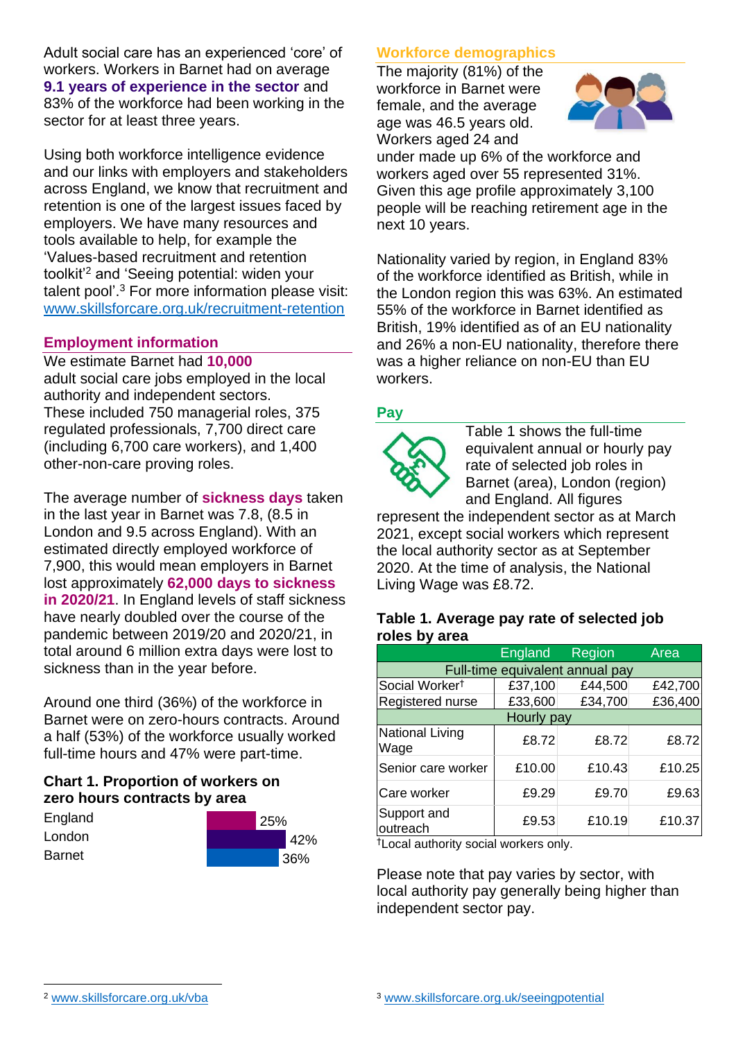Adult social care has an experienced 'core' of workers. Workers in Barnet had on average **9.1 years of experience in the sector** and 83% of the workforce had been working in the sector for at least three years.

Using both workforce intelligence evidence and our links with employers and stakeholders across England, we know that recruitment and retention is one of the largest issues faced by employers. We have many resources and tools available to help, for example the 'Values-based recruitment and retention toolkit'<sup>2</sup> and 'Seeing potential: widen your talent pool'. <sup>3</sup> For more information please visit: [www.skillsforcare.org.uk/recruitment-retention](http://www.skillsforcare.org.uk/recruitment-retention)

#### **Employment information**

We estimate Barnet had **10,000** adult social care jobs employed in the local authority and independent sectors. These included 750 managerial roles, 375 regulated professionals, 7,700 direct care (including 6,700 care workers), and 1,400 other-non-care proving roles.

The average number of **sickness days** taken in the last year in Barnet was 7.8, (8.5 in London and 9.5 across England). With an estimated directly employed workforce of 7,900, this would mean employers in Barnet lost approximately **62,000 days to sickness in 2020/21**. In England levels of staff sickness have nearly doubled over the course of the pandemic between 2019/20 and 2020/21, in total around 6 million extra days were lost to sickness than in the year before.

Around one third (36%) of the workforce in Barnet were on zero-hours contracts. Around a half (53%) of the workforce usually worked full-time hours and 47% were part-time.

### **Chart 1. Proportion of workers on zero hours contracts by area**

| England | $^{\prime}$ 25% |  |     |
|---------|-----------------|--|-----|
| London  |                 |  | 42% |
| Barnet  |                 |  | 36% |

### **Workforce demographics**

The majority (81%) of the workforce in Barnet were female, and the average age was 46.5 years old. Workers aged 24 and



under made up 6% of the workforce and workers aged over 55 represented 31%. Given this age profile approximately 3,100 people will be reaching retirement age in the next 10 years.

Nationality varied by region, in England 83% of the workforce identified as British, while in the London region this was 63%. An estimated 55% of the workforce in Barnet identified as British, 19% identified as of an EU nationality and 26% a non-EU nationality, therefore there was a higher reliance on non-EU than EU workers.

### **Pay**



Table 1 shows the full-time equivalent annual or hourly pay rate of selected job roles in Barnet (area), London (region) and England. All figures

represent the independent sector as at March 2021, except social workers which represent the local authority sector as at September 2020. At the time of analysis, the National Living Wage was £8.72.

#### **Table 1. Average pay rate of selected job roles by area**

|                                 | <b>England</b> | Region  | Area    |  |  |
|---------------------------------|----------------|---------|---------|--|--|
| Full-time equivalent annual pay |                |         |         |  |  |
| Social Worker <sup>†</sup>      | £37,100        | £44,500 | £42,700 |  |  |
| Registered nurse                | £33,600        | £34,700 | £36,400 |  |  |
| Hourly pay                      |                |         |         |  |  |
| National Living<br>Wage         | £8.72          | £8.72   | £8.72   |  |  |
| Senior care worker              | £10.00         | £10.43  | £10.25  |  |  |
| Care worker                     | £9.29          | £9.70   | £9.63   |  |  |
| Support and<br>outreach         | £9.53          | £10.19  | £10.37  |  |  |

†Local authority social workers only.

Please note that pay varies by sector, with local authority pay generally being higher than independent sector pay.